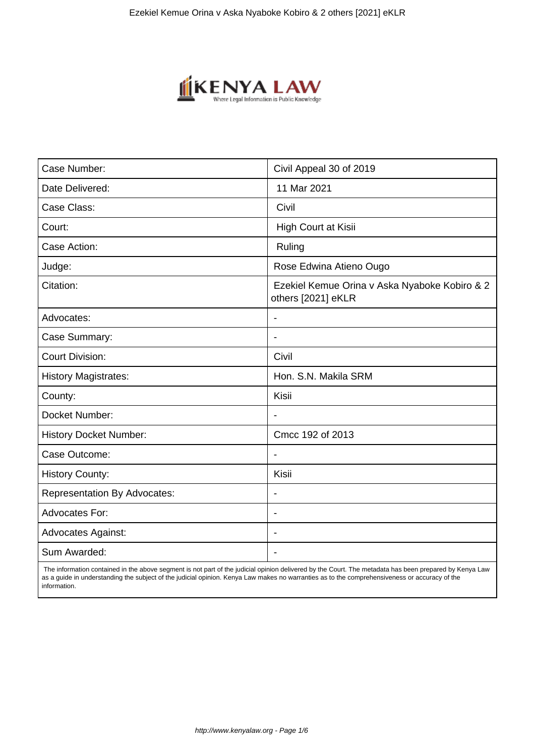

| Case Number:                        | Civil Appeal 30 of 2019                                             |
|-------------------------------------|---------------------------------------------------------------------|
| Date Delivered:                     | 11 Mar 2021                                                         |
| Case Class:                         | Civil                                                               |
| Court:                              | High Court at Kisii                                                 |
| Case Action:                        | Ruling                                                              |
| Judge:                              | Rose Edwina Atieno Ougo                                             |
| Citation:                           | Ezekiel Kemue Orina v Aska Nyaboke Kobiro & 2<br>others [2021] eKLR |
| Advocates:                          |                                                                     |
| Case Summary:                       |                                                                     |
| <b>Court Division:</b>              | Civil                                                               |
| <b>History Magistrates:</b>         | Hon. S.N. Makila SRM                                                |
| County:                             | Kisii                                                               |
| Docket Number:                      |                                                                     |
| <b>History Docket Number:</b>       | Cmcc 192 of 2013                                                    |
| Case Outcome:                       |                                                                     |
| <b>History County:</b>              | Kisii                                                               |
| <b>Representation By Advocates:</b> | $\blacksquare$                                                      |
| <b>Advocates For:</b>               | $\blacksquare$                                                      |
| <b>Advocates Against:</b>           |                                                                     |
| Sum Awarded:                        |                                                                     |

 The information contained in the above segment is not part of the judicial opinion delivered by the Court. The metadata has been prepared by Kenya Law as a guide in understanding the subject of the judicial opinion. Kenya Law makes no warranties as to the comprehensiveness or accuracy of the information.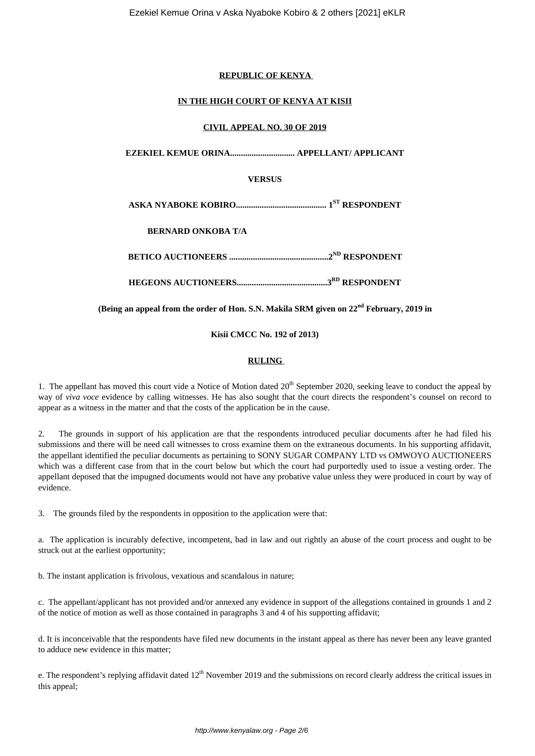### **REPUBLIC OF KENYA**

### **IN THE HIGH COURT OF KENYA AT KISII**

### **CIVIL APPEAL NO. 30 OF 2019**

**EZEKIEL KEMUE ORINA.............................. APPELLANT/ APPLICANT**

# **VERSUS**

**ASKA NYABOKE KOBIRO.......................................... 1ST RESPONDENT**

**BERNARD ONKOBA T/A**

**BETICO AUCTIONEERS ..............................................2ND RESPONDENT**

**HEGEONS AUCTIONEERS..........................................3RD RESPONDENT**

**(Being an appeal from the order of Hon. S.N. Makila SRM given on 22nd February, 2019 in**

**Kisii CMCC No. 192 of 2013)**

### **RULING**

1. The appellant has moved this court vide a Notice of Motion dated  $20<sup>th</sup>$  September 2020, seeking leave to conduct the appeal by way of *viva voce* evidence by calling witnesses. He has also sought that the court directs the respondent's counsel on record to appear as a witness in the matter and that the costs of the application be in the cause.

2. The grounds in support of his application are that the respondents introduced peculiar documents after he had filed his submissions and there will be need call witnesses to cross examine them on the extraneous documents. In his supporting affidavit, the appellant identified the peculiar documents as pertaining to SONY SUGAR COMPANY LTD vs OMWOYO AUCTIONEERS which was a different case from that in the court below but which the court had purportedly used to issue a vesting order. The appellant deposed that the impugned documents would not have any probative value unless they were produced in court by way of evidence.

3. The grounds filed by the respondents in opposition to the application were that:

a. The application is incurably defective, incompetent, bad in law and out rightly an abuse of the court process and ought to be struck out at the earliest opportunity;

b. The instant application is frivolous, vexatious and scandalous in nature;

c. The appellant/applicant has not provided and/or annexed any evidence in support of the allegations contained in grounds 1 and 2 of the notice of motion as well as those contained in paragraphs 3 and 4 of his supporting affidavit;

d. It is inconceivable that the respondents have filed new documents in the instant appeal as there has never been any leave granted to adduce new evidence in this matter;

e. The respondent's replying affidavit dated  $12<sup>th</sup>$  November 2019 and the submissions on record clearly address the critical issues in this appeal;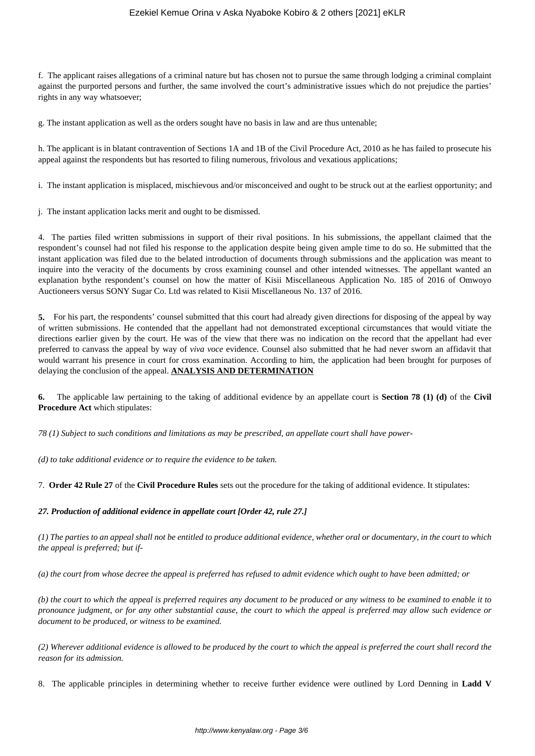## Ezekiel Kemue Orina v Aska Nyaboke Kobiro & 2 others [2021] eKLR

f. The applicant raises allegations of a criminal nature but has chosen not to pursue the same through lodging a criminal complaint against the purported persons and further, the same involved the court's administrative issues which do not prejudice the parties' rights in any way whatsoever;

g. The instant application as well as the orders sought have no basis in law and are thus untenable;

h. The applicant is in blatant contravention of Sections 1A and 1B of the Civil Procedure Act, 2010 as he has failed to prosecute his appeal against the respondents but has resorted to filing numerous, frivolous and vexatious applications;

i. The instant application is misplaced, mischievous and/or misconceived and ought to be struck out at the earliest opportunity; and

j. The instant application lacks merit and ought to be dismissed.

4. The parties filed written submissions in support of their rival positions. In his submissions, the appellant claimed that the respondent's counsel had not filed his response to the application despite being given ample time to do so. He submitted that the instant application was filed due to the belated introduction of documents through submissions and the application was meant to inquire into the veracity of the documents by cross examining counsel and other intended witnesses. The appellant wanted an explanation bythe respondent's counsel on how the matter of Kisii Miscellaneous Application No. 185 of 2016 of Omwoyo Auctioneers versus SONY Sugar Co. Ltd was related to Kisii Miscellaneous No. 137 of 2016.

**5.** For his part, the respondents' counsel submitted that this court had already given directions for disposing of the appeal by way of written submissions. He contended that the appellant had not demonstrated exceptional circumstances that would vitiate the directions earlier given by the court. He was of the view that there was no indication on the record that the appellant had ever preferred to canvass the appeal by way of *viva voce* evidence. Counsel also submitted that he had never sworn an affidavit that would warrant his presence in court for cross examination. According to him, the application had been brought for purposes of delaying the conclusion of the appeal. **ANALYSIS AND DETERMINATION**

**6.** The applicable law pertaining to the taking of additional evidence by an appellate court is **Section 78 (1) (d)** of the **Civil Procedure Act** which stipulates:

*78 (1) Subject to such conditions and limitations as may be prescribed, an appellate court shall have power-*

*(d) to take additional evidence or to require the evidence to be taken.*

7. **Order 42 Rule 27** of the **Civil Procedure Rules** sets out the procedure for the taking of additional evidence. It stipulates:

#### *27. Production of additional evidence in appellate court [Order 42, rule 27.]*

*(1) The parties to an appeal shall not be entitled to produce additional evidence, whether oral or documentary, in the court to which the appeal is preferred; but if-*

*(a) the court from whose decree the appeal is preferred has refused to admit evidence which ought to have been admitted; or*

*(b) the court to which the appeal is preferred requires any document to be produced or any witness to be examined to enable it to pronounce judgment, or for any other substantial cause, the court to which the appeal is preferred may allow such evidence or document to be produced, or witness to be examined.*

*(2) Wherever additional evidence is allowed to be produced by the court to which the appeal is preferred the court shall record the reason for its admission.*

8. The applicable principles in determining whether to receive further evidence were outlined by Lord Denning in **Ladd V**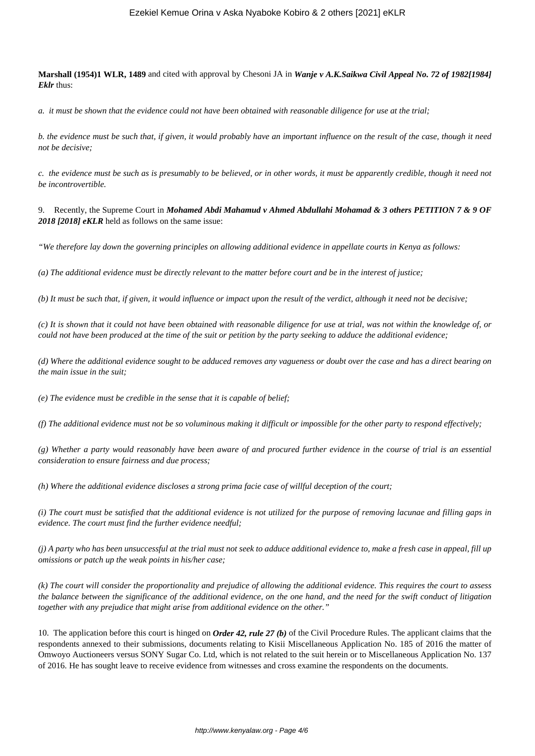**Marshall (1954)1 WLR, 1489** and cited with approval by Chesoni JA in *Wanje v A.K.Saikwa Civil Appeal No. 72 of 1982[1984] Eklr* thus:

*a. it must be shown that the evidence could not have been obtained with reasonable diligence for use at the trial;*

*b. the evidence must be such that, if given, it would probably have an important influence on the result of the case, though it need not be decisive;*

*c. the evidence must be such as is presumably to be believed, or in other words, it must be apparently credible, though it need not be incontrovertible.*

9. Recently, the Supreme Court in *Mohamed Abdi Mahamud v Ahmed Abdullahi Mohamad & 3 others PETITION 7 & 9 OF 2018 [2018] eKLR* held as follows on the same issue:

*"We therefore lay down the governing principles on allowing additional evidence in appellate courts in Kenya as follows:*

*(a) The additional evidence must be directly relevant to the matter before court and be in the interest of justice;*

*(b) It must be such that, if given, it would influence or impact upon the result of the verdict, although it need not be decisive;*

*(c) It is shown that it could not have been obtained with reasonable diligence for use at trial, was not within the knowledge of, or could not have been produced at the time of the suit or petition by the party seeking to adduce the additional evidence;*

*(d) Where the additional evidence sought to be adduced removes any vagueness or doubt over the case and has a direct bearing on the main issue in the suit;*

*(e) The evidence must be credible in the sense that it is capable of belief;*

*(f) The additional evidence must not be so voluminous making it difficult or impossible for the other party to respond effectively;*

*(g) Whether a party would reasonably have been aware of and procured further evidence in the course of trial is an essential consideration to ensure fairness and due process;*

*(h) Where the additional evidence discloses a strong prima facie case of willful deception of the court;*

*(i) The court must be satisfied that the additional evidence is not utilized for the purpose of removing lacunae and filling gaps in evidence. The court must find the further evidence needful;*

*(j) A party who has been unsuccessful at the trial must not seek to adduce additional evidence to, make a fresh case in appeal, fill up omissions or patch up the weak points in his/her case;*

*(k) The court will consider the proportionality and prejudice of allowing the additional evidence. This requires the court to assess the balance between the significance of the additional evidence, on the one hand, and the need for the swift conduct of litigation together with any prejudice that might arise from additional evidence on the other."*

10. The application before this court is hinged on *Order 42, rule 27 (b)* of the Civil Procedure Rules. The applicant claims that the respondents annexed to their submissions, documents relating to Kisii Miscellaneous Application No. 185 of 2016 the matter of Omwoyo Auctioneers versus SONY Sugar Co. Ltd, which is not related to the suit herein or to Miscellaneous Application No. 137 of 2016. He has sought leave to receive evidence from witnesses and cross examine the respondents on the documents.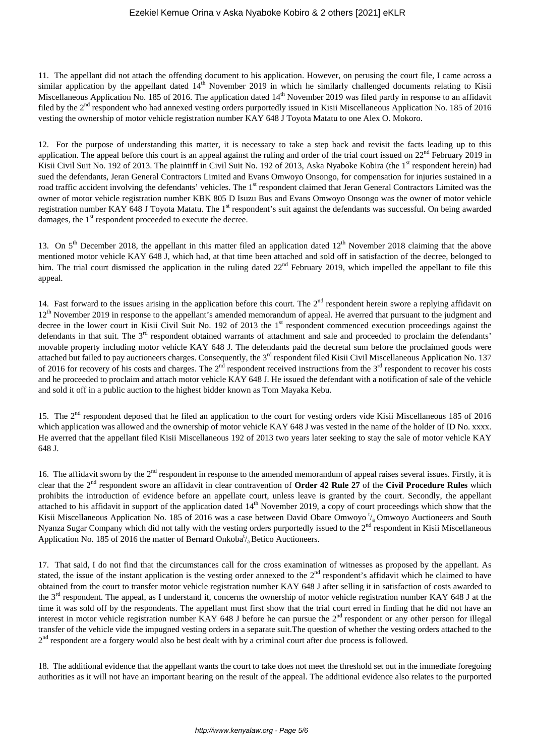11. The appellant did not attach the offending document to his application. However, on perusing the court file, I came across a similar application by the appellant dated  $14<sup>th</sup>$  November 2019 in which he similarly challenged documents relating to Kisii Miscellaneous Application No. 185 of 2016. The application dated 14<sup>th</sup> November 2019 was filed partly in response to an affidavit filed by the 2<sup>nd</sup> respondent who had annexed vesting orders purportedly issued in Kisii Miscellaneous Application No. 185 of 2016 vesting the ownership of motor vehicle registration number KAY 648 J Toyota Matatu to one Alex O. Mokoro.

12. For the purpose of understanding this matter, it is necessary to take a step back and revisit the facts leading up to this application. The appeal before this court is an appeal against the ruling and order of the trial court issued on  $22<sup>nd</sup>$  February 2019 in Kisii Civil Suit No. 192 of 2013. The plaintiff in Civil Suit No. 192 of 2013, Aska Nyaboke Kobira (the  $1<sup>st</sup>$  respondent herein) had sued the defendants, Jeran General Contractors Limited and Evans Omwoyo Onsongo, for compensation for injuries sustained in a road traffic accident involving the defendants' vehicles. The 1<sup>st</sup> respondent claimed that Jeran General Contractors Limited was the owner of motor vehicle registration number KBK 805 D Isuzu Bus and Evans Omwoyo Onsongo was the owner of motor vehicle registration number KAY 648 J Toyota Matatu. The 1<sup>st</sup> respondent's suit against the defendants was successful. On being awarded damages, the 1<sup>st</sup> respondent proceeded to execute the decree.

13. On  $5<sup>th</sup>$  December 2018, the appellant in this matter filed an application dated  $12<sup>th</sup>$  November 2018 claiming that the above mentioned motor vehicle KAY 648 J, which had, at that time been attached and sold off in satisfaction of the decree, belonged to him. The trial court dismissed the application in the ruling dated  $22<sup>nd</sup>$  February 2019, which impelled the appellant to file this appeal.

14. Fast forward to the issues arising in the application before this court. The  $2<sup>nd</sup>$  respondent herein swore a replying affidavit on  $12<sup>th</sup>$  November 2019 in response to the appellant's amended memorandum of appeal. He averred that pursuant to the judgment and decree in the lower court in Kisii Civil Suit No. 192 of 2013 the  $1<sup>st</sup>$  respondent commenced execution proceedings against the defendants in that suit. The  $3<sup>rd</sup>$  respondent obtained warrants of attachment and sale and proceeded to proclaim the defendants' movable property including motor vehicle KAY 648 J. The defendants paid the decretal sum before the proclaimed goods were attached but failed to pay auctioneers charges. Consequently, the 3<sup>rd</sup> respondent filed Kisii Civil Miscellaneous Application No. 137 of 2016 for recovery of his costs and charges. The  $2<sup>nd</sup>$  respondent received instructions from the  $3<sup>rd</sup>$  respondent to recover his costs and he proceeded to proclaim and attach motor vehicle KAY 648 J. He issued the defendant with a notification of sale of the vehicle and sold it off in a public auction to the highest bidder known as Tom Mayaka Kebu.

15. The 2<sup>nd</sup> respondent deposed that he filed an application to the court for vesting orders vide Kisii Miscellaneous 185 of 2016 which application was allowed and the ownership of motor vehicle KAY 648 J was vested in the name of the holder of ID No. xxxx. He averred that the appellant filed Kisii Miscellaneous 192 of 2013 two years later seeking to stay the sale of motor vehicle KAY 648 J.

16. The affidavit sworn by the  $2<sup>nd</sup>$  respondent in response to the amended memorandum of appeal raises several issues. Firstly, it is clear that the 2nd respondent swore an affidavit in clear contravention of **Order 42 Rule 27** of the **Civil Procedure Rules** which prohibits the introduction of evidence before an appellate court, unless leave is granted by the court. Secondly, the appellant attached to his affidavit in support of the application dated  $14<sup>th</sup>$  November 2019, a copy of court proceedings which show that the Kisii Miscellaneous Application No. 185 of 2016 was a case between David Obare Omwoyo  $\frac{1}{4}$  Omwoyo Auctioneers and South Nyanza Sugar Company which did not tally with the vesting orders purportedly issued to the 2<sup>nd</sup> respondent in Kisii Miscellaneous Application No. 185 of 2016 the matter of Bernard Onkoba<sup>t</sup>/<sub>a</sub> Betico Auctioneers.

17. That said, I do not find that the circumstances call for the cross examination of witnesses as proposed by the appellant. As stated, the issue of the instant application is the vesting order annexed to the  $2<sup>nd</sup>$  respondent's affidavit which he claimed to have obtained from the court to transfer motor vehicle registration number KAY 648 J after selling it in satisfaction of costs awarded to the 3<sup>rd</sup> respondent. The appeal, as I understand it, concerns the ownership of motor vehicle registration number KAY 648 J at the time it was sold off by the respondents. The appellant must first show that the trial court erred in finding that he did not have an interest in motor vehicle registration number KAY 648 J before he can pursue the  $2<sup>nd</sup>$  respondent or any other person for illegal transfer of the vehicle vide the impugned vesting orders in a separate suit.The question of whether the vesting orders attached to the 2<sup>nd</sup> respondent are a forgery would also be best dealt with by a criminal court after due process is followed.

18. The additional evidence that the appellant wants the court to take does not meet the threshold set out in the immediate foregoing authorities as it will not have an important bearing on the result of the appeal. The additional evidence also relates to the purported